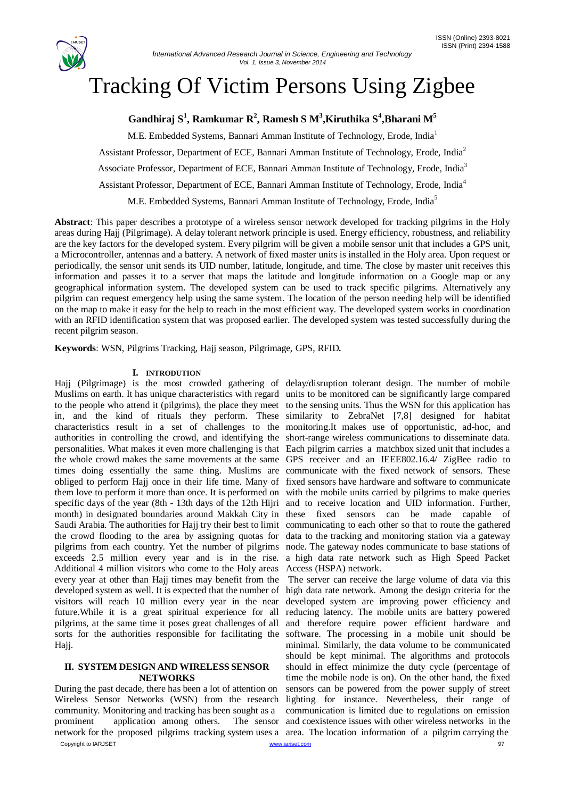

# Tracking Of Victim Persons Using Zigbee

# **Gandhiraj S<sup>1</sup> , Ramkumar R<sup>2</sup> , Ramesh S M<sup>3</sup> ,Kiruthika S<sup>4</sup> ,Bharani M<sup>5</sup>**

M.E. Embedded Systems, Bannari Amman Institute of Technology, Erode, India<sup>1</sup> Assistant Professor, Department of ECE, Bannari Amman Institute of Technology, Erode, India<sup>2</sup> Associate Professor, Department of ECE, Bannari Amman Institute of Technology, Erode, India<sup>3</sup>

Assistant Professor, Department of ECE, Bannari Amman Institute of Technology, Erode, India<sup>4</sup>

M.E. Embedded Systems, Bannari Amman Institute of Technology, Erode, India<sup>5</sup>

**Abstract**: This paper describes a prototype of a wireless sensor network developed for tracking pilgrims in the Holy areas during Hajj (Pilgrimage). A delay tolerant network principle is used. Energy efficiency, robustness, and reliability are the key factors for the developed system. Every pilgrim will be given a mobile sensor unit that includes a GPS unit, a Microcontroller, antennas and a battery. A network of fixed master units is installed in the Holy area. Upon request or periodically, the sensor unit sends its UID number, latitude, longitude, and time. The close by master unit receives this information and passes it to a server that maps the latitude and longitude information on a Google map or any geographical information system. The developed system can be used to track specific pilgrims. Alternatively any pilgrim can request emergency help using the same system. The location of the person needing help will be identified on the map to make it easy for the help to reach in the most efficient way. The developed system works in coordination with an RFID identification system that was proposed earlier. The developed system was tested successfully during the recent pilgrim season.

**Keywords**: WSN, Pilgrims Tracking, Hajj season, Pilgrimage, GPS, RFID*.*

## **I. INTRODUTION**

Hajj (Pilgrimage) is the most crowded gathering of delay/disruption tolerant design. The number of mobile Muslims on earth. It has unique characteristics with regard units to be monitored can be significantly large compared to the people who attend it (pilgrims), the place they meet to the sensing units. Thus the WSN for this application has in, and the kind of rituals they perform. These similarity to ZebraNet [7,8] designed for habitat characteristics result in a set of challenges to the monitoring.It makes use of opportunistic, ad-hoc, and authorities in controlling the crowd, and identifying the short-range wireless communications to disseminate data. personalities. What makes it even more challenging is that Each pilgrim carries a matchbox sized unit that includes a the whole crowd makes the same movements at the same GPS receiver and an IEEE802.16.4/ ZigBee radio to times doing essentially the same thing. Muslims are communicate with the fixed network of sensors. These obliged to perform Hajj once in their life time. Many of fixed sensors have hardware and software to communicate them love to perform it more than once. It is performed on with the mobile units carried by pilgrims to make queries specific days of the year (8th - 13th days of the 12th Hijri and to receive location and UID information. Further, month) in designated boundaries around Makkah City in these fixed sensors can be made capable of Saudi Arabia. The authorities for Hajj try their best to limit communicating to each other so that to route the gathered the crowd flooding to the area by assigning quotas for pilgrims from each country. Yet the number of pilgrims exceeds 2.5 million every year and is in the rise. Additional 4 million visitors who come to the Holy areas every year at other than Hajj times may benefit from the developed system as well. It is expected that the number of visitors will reach 10 million every year in the near future.While it is a great spiritual experience for all pilgrims, at the same time it poses great challenges of all sorts for the authorities responsible for facilitating the Hajj.

### **II. SYSTEM DESIGN AND WIRELESS SENSOR NETWORKS**

Copyright to IARJSET **1999** Copyright to IARJSET **1999** Copyright to IARJSET **1999** Copyright to IARJSET **1999** Copyright to IARJSET **1999** Copyright to IARJSET **1999** Copyright to IARJSET **1999** Copyright to IARJSET **1999** During the past decade, there has been a lot of attention on Wireless Sensor Networks (WSN) from the research community. Monitoring and tracking has been sought as a prominent application among others. network for the proposed pilgrims tracking system uses a area. The location information of a pilgrim carrying the

data to the tracking and monitoring station via a gateway node. The gateway nodes communicate to base stations of a high data rate network such as High Speed Packet Access (HSPA) network.

The server can receive the large volume of data via this high data rate network. Among the design criteria for the developed system are improving power efficiency and reducing latency. The mobile units are battery powered and therefore require power efficient hardware and software. The processing in a mobile unit should be minimal. Similarly, the data volume to be communicated should be kept minimal. The algorithms and protocols should in effect minimize the duty cycle (percentage of time the mobile node is on). On the other hand, the fixed sensors can be powered from the power supply of street lighting for instance. Nevertheless, their range of communication is limited due to regulations on emission The sensor and coexistence issues with other wireless networks in the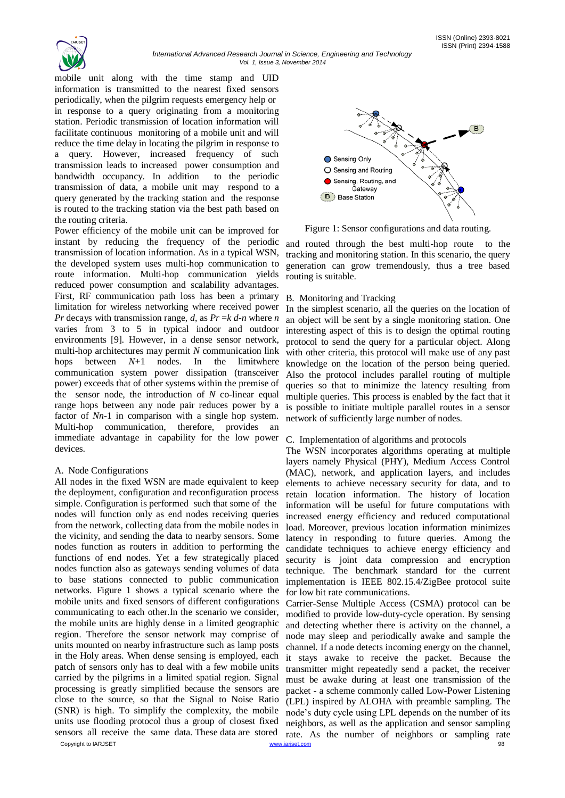

*International Advanced Research Journal in Science, Engineering and Technology Vol. 1, Issue 3, November 2014*

mobile unit along with the time stamp and UID information is transmitted to the nearest fixed sensors periodically, when the pilgrim requests emergency help or in response to a query originating from a monitoring station. Periodic transmission of location information will facilitate continuous monitoring of a mobile unit and will reduce the time delay in locating the pilgrim in response to a query. However, increased frequency of such transmission leads to increased power consumption and bandwidth occupancy. In addition to the periodic transmission of data, a mobile unit may respond to a query generated by the tracking station and the response is routed to the tracking station via the best path based on the routing criteria.

Power efficiency of the mobile unit can be improved for instant by reducing the frequency of the periodic transmission of location information. As in a typical WSN, the developed system uses multi-hop communication to route information. Multi-hop communication yields reduced power consumption and scalability advantages. First, RF communication path loss has been a primary limitation for wireless networking where received power *Pr* decays with transmission range, *d*, as *Pr* =*k d-n* where *n*  varies from 3 to 5 in typical indoor and outdoor environments [9]. However, in a dense sensor network, multi-hop architectures may permit *N* communication link hops between *N*+1 nodes. In the limitwhere communication system power dissipation (transceiver power) exceeds that of other systems within the premise of the sensor node, the introduction of *N* co-linear equal range hops between any node pair reduces power by a factor of *Nn*-1 in comparison with a single hop system. Multi-hop communication, therefore, provides an immediate advantage in capability for the low power devices.

#### A. Node Configurations

Copyright to IARJSET [www.iarjset.com](http://www.iarjset.com/) 98 All nodes in the fixed WSN are made equivalent to keep the deployment, configuration and reconfiguration process simple. Configuration is performed such that some of the nodes will function only as end nodes receiving queries from the network, collecting data from the mobile nodes in the vicinity, and sending the data to nearby sensors. Some nodes function as routers in addition to performing the functions of end nodes. Yet a few strategically placed nodes function also as gateways sending volumes of data to base stations connected to public communication networks. Figure 1 shows a typical scenario where the mobile units and fixed sensors of different configurations communicating to each other.In the scenario we consider, the mobile units are highly dense in a limited geographic region. Therefore the sensor network may comprise of units mounted on nearby infrastructure such as lamp posts in the Holy areas. When dense sensing is employed, each patch of sensors only has to deal with a few mobile units carried by the pilgrims in a limited spatial region. Signal processing is greatly simplified because the sensors are close to the source, so that the Signal to Noise Ratio (SNR) is high. To simplify the complexity, the mobile units use flooding protocol thus a group of closest fixed sensors all receive the same data. These data are stored



Figure 1: Sensor configurations and data routing.

and routed through the best multi-hop route to the tracking and monitoring station. In this scenario, the query generation can grow tremendously, thus a tree based routing is suitable.

#### B. Monitoring and Tracking

In the simplest scenario, all the queries on the location of an object will be sent by a single monitoring station. One interesting aspect of this is to design the optimal routing protocol to send the query for a particular object. Along with other criteria, this protocol will make use of any past knowledge on the location of the person being queried. Also the protocol includes parallel routing of multiple queries so that to minimize the latency resulting from multiple queries. This process is enabled by the fact that it is possible to initiate multiple parallel routes in a sensor network of sufficiently large number of nodes.

#### C. Implementation of algorithms and protocols

The WSN incorporates algorithms operating at multiple layers namely Physical (PHY), Medium Access Control (MAC), network, and application layers, and includes elements to achieve necessary security for data, and to retain location information. The history of location information will be useful for future computations with increased energy efficiency and reduced computational load. Moreover, previous location information minimizes latency in responding to future queries. Among the candidate techniques to achieve energy efficiency and security is joint data compression and encryption technique. The benchmark standard for the current implementation is IEEE 802.15.4/ZigBee protocol suite for low bit rate communications.

Carrier-Sense Multiple Access (CSMA) protocol can be modified to provide low-duty-cycle operation. By sensing and detecting whether there is activity on the channel, a node may sleep and periodically awake and sample the channel. If a node detects incoming energy on the channel, it stays awake to receive the packet. Because the transmitter might repeatedly send a packet, the receiver must be awake during at least one transmission of the packet - a scheme commonly called Low-Power Listening (LPL) inspired by ALOHA with preamble sampling. The node's duty cycle using LPL depends on the number of its neighbors, as well as the application and sensor sampling rate. As the number of neighbors or sampling rate